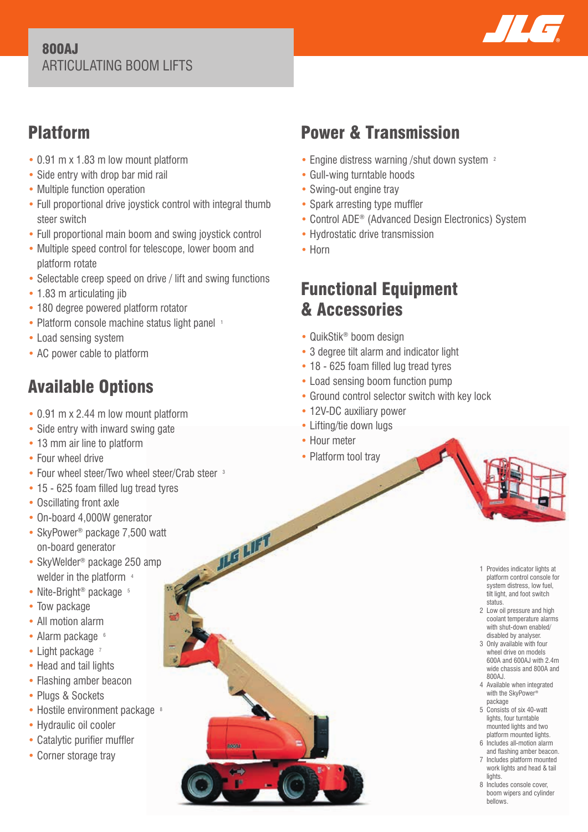#### 800AJ ARTICULATING BOOM LIFTS



## Platform

- 0.91 m x 1.83 m low mount platform
- Side entry with drop bar mid rail
- Multiple function operation
- Full proportional drive joystick control with integral thumb steer switch
- Full proportional main boom and swing joystick control
- Multiple speed control for telescope, lower boom and platform rotate
- Selectable creep speed on drive / lift and swing functions
- 1.83 m articulating jib
- 180 degree powered platform rotator
- Platform console machine status light panel 1
- Load sensing system
- AC power cable to platform

# Available Options

- 0.91 m x 2.44 m low mount platform
- Side entry with inward swing gate
- 13 mm air line to platform
- Four wheel drive
- Four wheel steer/Two wheel steer/Crab steer <sup>3</sup>
- 15 625 foam filled lug tread tyres
- Oscillating front axle
- On-board 4,000W generator
- SkyPower<sup>®</sup> package 7,500 watt on-board generator
- SkyWelder<sup>®</sup> package 250 amp welder in the platform 4
- Nite-Bright<sup>®</sup> package <sup>5</sup>
- Tow package
- All motion alarm
- Alarm package 6
- Light package 7
- Head and tail lights
- Flashing amber beacon
- Plugs & Sockets
- Hostile environment package 8
- Hydraulic oil cooler
- Catalytic purifier muffler
- Corner storage tray

# Power & Transmission

- Engine distress warning /shut down system <sup>2</sup>
- Gull-wing turntable hoods
- Swing-out engine tray
- Spark arresting type muffler
- Control ADE® (Advanced Design Electronics) System
- Hydrostatic drive transmission
- Horn

## Functional Equipment & Accessories

- QuikStik® boom design
- 3 degree tilt alarm and indicator light
- 18 625 foam filled lug tread tyres
- Load sensing boom function pump
- Ground control selector switch with key lock
- 12V-DC auxiliary power
- Lifting/tie down lugs
- Hour meter

JLG LIFT

• Platform tool trav

- 1 Provides indicator lights at platform control console for system distress, low fuel, tilt light, and foot switch status.
- 2 Low oil pressure and high coolant temperature alarms with shut-down enabled/ disabled by analyser.
- 3 Only available with four wheel drive on models 600A and 600AJ with 2.4m wide chassis and 800A and 800AJ.
- 4 Available when integrated with the SkyPower® package
- 5 Consists of six 40-watt lights, four turntable mounted lights and two platform mounted lights.
- 6 Includes all-motion alarm and flashing amber beacon.
- 7 Includes platform mounted work lights and head & tail lights.
- 8 Includes console cover. boom wipers and cylinder bellows.